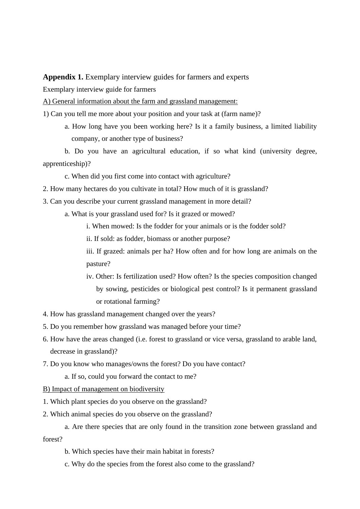**Appendix 1.** Exemplary interview guides for farmers and experts

Exemplary interview guide for farmers

A) General information about the farm and grassland management:

1) Can you tell me more about your position and your task at (farm name)?

a. How long have you been working here? Is it a family business, a limited liability company, or another type of business?

b. Do you have an agricultural education, if so what kind (university degree, apprenticeship)?

c. When did you first come into contact with agriculture?

- 2. How many hectares do you cultivate in total? How much of it is grassland?
- 3. Can you describe your current grassland management in more detail?
	- a. What is your grassland used for? Is it grazed or mowed?
		- i. When mowed: Is the fodder for your animals or is the fodder sold?
		- ii. If sold: as fodder, biomass or another purpose?

iii. If grazed: animals per ha? How often and for how long are animals on the pasture?

- iv. Other: Is fertilization used? How often? Is the species composition changed by sowing, pesticides or biological pest control? Is it permanent grassland or rotational farming?
- 4. How has grassland management changed over the years?
- 5. Do you remember how grassland was managed before your time?
- 6. How have the areas changed (i.e. forest to grassland or vice versa, grassland to arable land, decrease in grassland)?
- 7. Do you know who manages/owns the forest? Do you have contact?
	- a. If so, could you forward the contact to me?
- B) Impact of management on biodiversity
- 1. Which plant species do you observe on the grassland?
- 2. Which animal species do you observe on the grassland?
- a. Are there species that are only found in the transition zone between grassland and forest?
	- b. Which species have their main habitat in forests?
	- c. Why do the species from the forest also come to the grassland?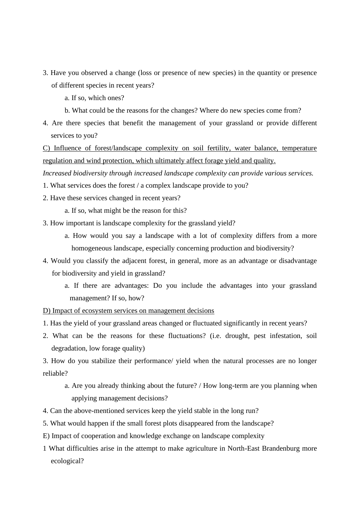- 3. Have you observed a change (loss or presence of new species) in the quantity or presence of different species in recent years?
	- a. If so, which ones?
	- b. What could be the reasons for the changes? Where do new species come from?
- 4. Are there species that benefit the management of your grassland or provide different services to you?

C) Influence of forest/landscape complexity on soil fertility, water balance, temperature regulation and wind protection, which ultimately affect forage yield and quality.

*Increased biodiversity through increased landscape complexity can provide various services.* 

- 1. What services does the forest / a complex landscape provide to you?
- 2. Have these services changed in recent years?
	- a. If so, what might be the reason for this?
- 3. How important is landscape complexity for the grassland yield?
	- a. How would you say a landscape with a lot of complexity differs from a more homogeneous landscape, especially concerning production and biodiversity?
- 4. Would you classify the adjacent forest, in general, more as an advantage or disadvantage for biodiversity and yield in grassland?
	- a. If there are advantages: Do you include the advantages into your grassland management? If so, how?
- D) Impact of ecosystem services on management decisions
- 1. Has the yield of your grassland areas changed or fluctuated significantly in recent years?
- 2. What can be the reasons for these fluctuations? (i.e. drought, pest infestation, soil degradation, low forage quality)

3. How do you stabilize their performance/ yield when the natural processes are no longer reliable?

- a. Are you already thinking about the future? / How long-term are you planning when applying management decisions?
- 4. Can the above-mentioned services keep the yield stable in the long run?
- 5. What would happen if the small forest plots disappeared from the landscape?
- E) Impact of cooperation and knowledge exchange on landscape complexity
- 1 What difficulties arise in the attempt to make agriculture in North-East Brandenburg more ecological?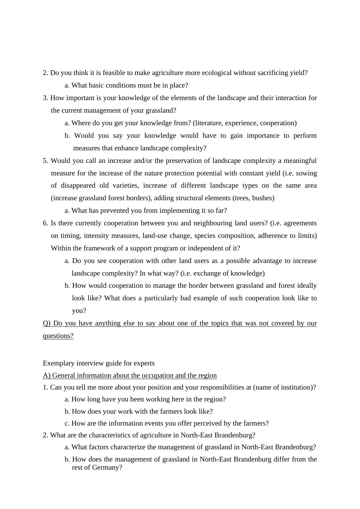- 2. Do you think it is feasible to make agriculture more ecological without sacrificing yield? a. What basic conditions must be in place?
- 3. How important is your knowledge of the elements of the landscape and their interaction for the current management of your grassland?
	- a. Where do you get your knowledge from? (literature, experience, cooperation)
	- b. Would you say your knowledge would have to gain importance to perform measures that enhance landscape complexity?
- 5. Would you call an increase and/or the preservation of landscape complexity a meaningful measure for the increase of the nature protection potential with constant yield (i.e. sowing of disappeared old varieties, increase of different landscape types on the same area (increase grassland forest borders), adding structural elements (trees, bushes)
	- a. What has prevented you from implementing it so far?
- 6. Is there currently cooperation between you and neighbouring land users? (i.e. agreements on timing, intensity measures, land-use change, species composition, adherence to limits) Within the framework of a support program or independent of it?
	- a. Do you see cooperation with other land users as a possible advantage to increase landscape complexity? In what way? (i.e. exchange of knowledge)
	- b. How would cooperation to manage the border between grassland and forest ideally look like? What does a particularly bad example of such cooperation look like to you?

Q) Do you have anything else to say about one of the topics that was not covered by our questions?

Exemplary interview guide for experts

## A) General information about the occupation and the region

- 1. Can you tell me more about your position and your responsibilities at (name of institution)?
	- a. How long have you been working here in the region?
	- b. How does your work with the farmers look like?
	- c. How are the information events you offer perceived by the farmers?
- 2. What are the characteristics of agriculture in North-East Brandenburg?
	- a. What factors characterize the management of grassland in North-East Brandenburg?
	- b. How does the management of grassland in North-East Brandenburg differ from the rest of Germany?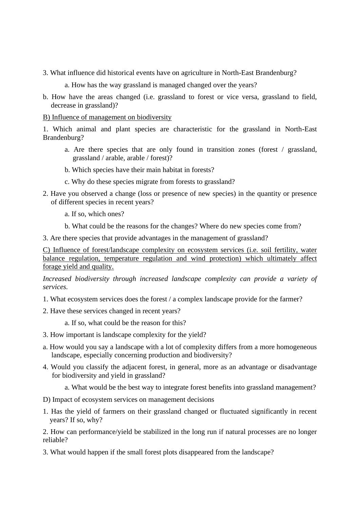3. What influence did historical events have on agriculture in North-East Brandenburg?

a. How has the way grassland is managed changed over the years?

b. How have the areas changed (i.e. grassland to forest or vice versa, grassland to field, decrease in grassland)?

B) Influence of management on biodiversity

1. Which animal and plant species are characteristic for the grassland in North-East Brandenburg?

- a. Are there species that are only found in transition zones (forest / grassland, grassland / arable, arable / forest)?
- b. Which species have their main habitat in forests?
- c. Why do these species migrate from forests to grassland?
- 2. Have you observed a change (loss or presence of new species) in the quantity or presence of different species in recent years?
	- a. If so, which ones?
	- b. What could be the reasons for the changes? Where do new species come from?

3. Are there species that provide advantages in the management of grassland?

C) Influence of forest/landscape complexity on ecosystem services (i.e. soil fertility, water balance regulation, temperature regulation and wind protection) which ultimately affect forage yield and quality.

*Increased biodiversity through increased landscape complexity can provide a variety of services.* 

1. What ecosystem services does the forest / a complex landscape provide for the farmer?

2. Have these services changed in recent years?

a. If so, what could be the reason for this?

- 3. How important is landscape complexity for the yield?
- a. How would you say a landscape with a lot of complexity differs from a more homogeneous landscape, especially concerning production and biodiversity?
- 4. Would you classify the adjacent forest, in general, more as an advantage or disadvantage for biodiversity and yield in grassland?

a. What would be the best way to integrate forest benefits into grassland management?

D) Impact of ecosystem services on management decisions

1. Has the yield of farmers on their grassland changed or fluctuated significantly in recent years? If so, why?

2. How can performance/yield be stabilized in the long run if natural processes are no longer reliable?

3. What would happen if the small forest plots disappeared from the landscape?